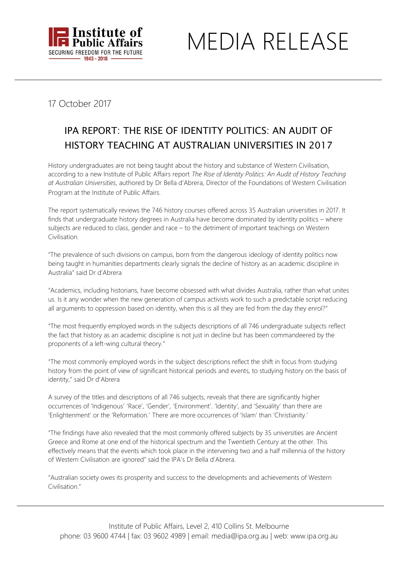

MEDIA RELEASE

17 October 2017

## IPA REPORT: THE RISE OF IDENTITY POLITICS: AN AUDIT OF HISTORY TEACHING AT AUSTRALIAN UNIVERSITIES IN 2017

History undergraduates are not being taught about the history and substance of Western Civilisation, according to a new Institute of Public Affairs report *The Rise of Identity Politics: An Audit of History Teaching at Australian Universities,* authored by Dr Bella d'Abrera, Director of the Foundations of Western Civilisation Program at the Institute of Public Affairs.

The report systematically reviews the 746 history courses offered across 35 Australian universities in 2017. It finds that undergraduate history degrees in Australia have become dominated by identity politics – where subjects are reduced to class, gender and race – to the detriment of important teachings on Western Civilisation.

"The prevalence of such divisions on campus, born from the dangerous ideology of identity politics now being taught in humanities departments clearly signals the decline of history as an academic discipline in Australia" said Dr d'Abrera

"Academics, including historians, have become obsessed with what divides Australia, rather than what unites us. Is it any wonder when the new generation of campus activists work to such a predictable script reducing all arguments to oppression based on identity, when this is all they are fed from the day they enrol?"

"The most frequently employed words in the subjects descriptions of all 746 undergraduate subjects reflect the fact that history as an academic discipline is not just in decline but has been commandeered by the proponents of a left-wing cultural theory."

"The most commonly employed words in the subject descriptions reflect the shift in focus from studying history from the point of view of significant historical periods and events, to studying history on the basis of identity," said Dr d'Abrera

A survey of the titles and descriptions of all 746 subjects, reveals that there are significantly higher occurrences of 'Indigenous' 'Race', 'Gender', 'Environment'. 'Identity', and 'Sexuality' than there are 'Enlightenment' or the 'Reformation.' There are more occurrences of 'Islam' than 'Christianity.'

"The findings have also revealed that the most commonly offered subjects by 35 universities are Ancient Greece and Rome at one end of the historical spectrum and the Twentieth Century at the other. This effectively means that the events which took place in the intervening two and a half millennia of the history of Western Civilisation are ignored" said the IPA's Dr Bella d'Abrera.

"Australian society owes its prosperity and success to the developments and achievements of Western Civilisation."